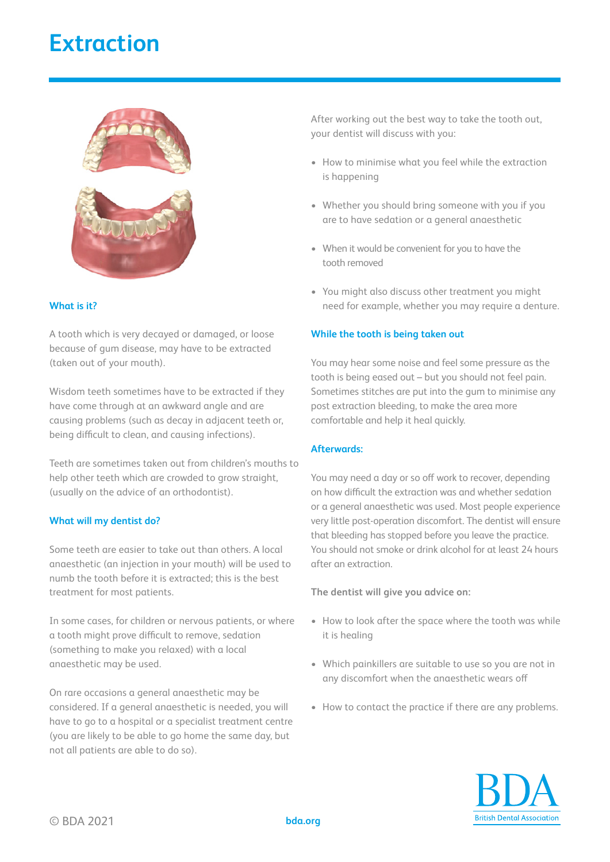# **Extraction**



## **What is it?**

A tooth which is very decayed or damaged, or loose because of gum disease, may have to be extracted (taken out of your mouth).

Wisdom teeth sometimes have to be extracted if they have come through at an awkward angle and are causing problems (such as decay in adjacent teeth or, being difficult to clean, and causing infections).

Teeth are sometimes taken out from children's mouths to help other teeth which are crowded to grow straight, (usually on the advice of an orthodontist).

## **What will my dentist do?**

Some teeth are easier to take out than others. A local anaesthetic (an injection in your mouth) will be used to numb the tooth before it is extracted; this is the best treatment for most patients.

In some cases, for children or nervous patients, or where a tooth might prove difficult to remove, sedation (something to make you relaxed) with a local anaesthetic may be used.

On rare occasions a general anaesthetic may be considered. If a general anaesthetic is needed, you will have to go to a hospital or a specialist treatment centre (you are likely to be able to go home the same day, but not all patients are able to do so).

After working out the best way to take the tooth out, your dentist will discuss with you:

- How to minimise what you feel while the extraction is happening
- Whether you should bring someone with you if you are to have sedation or a general anaesthetic
- When it would be convenient for you to have the tooth removed
- You might also discuss other treatment you might need for example, whether you may require a denture.

### **While the tooth is being taken out**

You may hear some noise and feel some pressure as the tooth is being eased out – but you should not feel pain. Sometimes stitches are put into the gum to minimise any post extraction bleeding, to make the area more comfortable and help it heal quickly.

## **Afterwards:**

You may need a day or so off work to recover, depending on how difficult the extraction was and whether sedation or a general anaesthetic was used. Most people experience very little post-operation discomfort. The dentist will ensure that bleeding has stopped before you leave the practice. You should not smoke or drink alcohol for at least 24 hours after an extraction.

**The dentist will give you advice on:** 

- How to look after the space where the tooth was while it is healing
- Which painkillers are suitable to use so you are not in any discomfort when the anaesthetic wears off
- How to contact the practice if there are any problems.